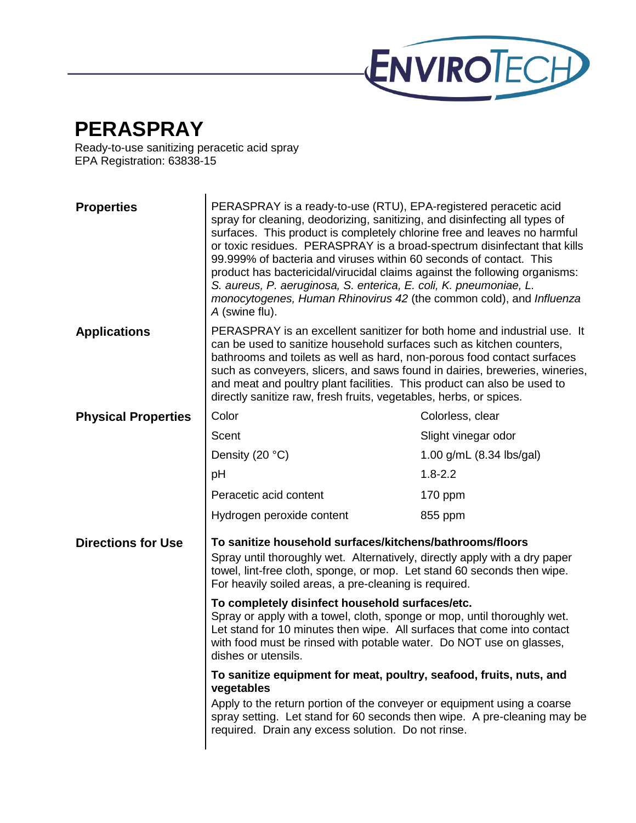

## **PERASPRAY**

Ready-to-use sanitizing peracetic acid spray EPA Registration: 63838-15

| <b>Properties</b>          | PERASPRAY is a ready-to-use (RTU), EPA-registered peracetic acid<br>spray for cleaning, deodorizing, sanitizing, and disinfecting all types of<br>surfaces. This product is completely chlorine free and leaves no harmful<br>or toxic residues. PERASPRAY is a broad-spectrum disinfectant that kills<br>99.999% of bacteria and viruses within 60 seconds of contact. This<br>product has bactericidal/virucidal claims against the following organisms:<br>S. aureus, P. aeruginosa, S. enterica, E. coli, K. pneumoniae, L.<br>monocytogenes, Human Rhinovirus 42 (the common cold), and Influenza<br>A (swine flu). |                          |
|----------------------------|--------------------------------------------------------------------------------------------------------------------------------------------------------------------------------------------------------------------------------------------------------------------------------------------------------------------------------------------------------------------------------------------------------------------------------------------------------------------------------------------------------------------------------------------------------------------------------------------------------------------------|--------------------------|
| <b>Applications</b>        | PERASPRAY is an excellent sanitizer for both home and industrial use. It<br>can be used to sanitize household surfaces such as kitchen counters,<br>bathrooms and toilets as well as hard, non-porous food contact surfaces<br>such as conveyers, slicers, and saws found in dairies, breweries, wineries,<br>and meat and poultry plant facilities. This product can also be used to<br>directly sanitize raw, fresh fruits, vegetables, herbs, or spices.                                                                                                                                                              |                          |
| <b>Physical Properties</b> | Color                                                                                                                                                                                                                                                                                                                                                                                                                                                                                                                                                                                                                    | Colorless, clear         |
|                            | Scent                                                                                                                                                                                                                                                                                                                                                                                                                                                                                                                                                                                                                    | Slight vinegar odor      |
|                            | Density (20 °C)                                                                                                                                                                                                                                                                                                                                                                                                                                                                                                                                                                                                          | 1.00 g/mL (8.34 lbs/gal) |
|                            | pH                                                                                                                                                                                                                                                                                                                                                                                                                                                                                                                                                                                                                       | $1.8 - 2.2$              |
|                            | Peracetic acid content                                                                                                                                                                                                                                                                                                                                                                                                                                                                                                                                                                                                   | $170$ ppm                |
|                            | Hydrogen peroxide content                                                                                                                                                                                                                                                                                                                                                                                                                                                                                                                                                                                                | 855 ppm                  |
| <b>Directions for Use</b>  | To sanitize household surfaces/kitchens/bathrooms/floors<br>Spray until thoroughly wet. Alternatively, directly apply with a dry paper<br>towel, lint-free cloth, sponge, or mop. Let stand 60 seconds then wipe.<br>For heavily soiled areas, a pre-cleaning is required.                                                                                                                                                                                                                                                                                                                                               |                          |
|                            | To completely disinfect household surfaces/etc.<br>Spray or apply with a towel, cloth, sponge or mop, until thoroughly wet.<br>Let stand for 10 minutes then wipe. All surfaces that come into contact<br>with food must be rinsed with potable water. Do NOT use on glasses,<br>dishes or utensils.                                                                                                                                                                                                                                                                                                                     |                          |
|                            | To sanitize equipment for meat, poultry, seafood, fruits, nuts, and<br>vegetables<br>Apply to the return portion of the conveyer or equipment using a coarse<br>spray setting. Let stand for 60 seconds then wipe. A pre-cleaning may be<br>required. Drain any excess solution. Do not rinse.                                                                                                                                                                                                                                                                                                                           |                          |